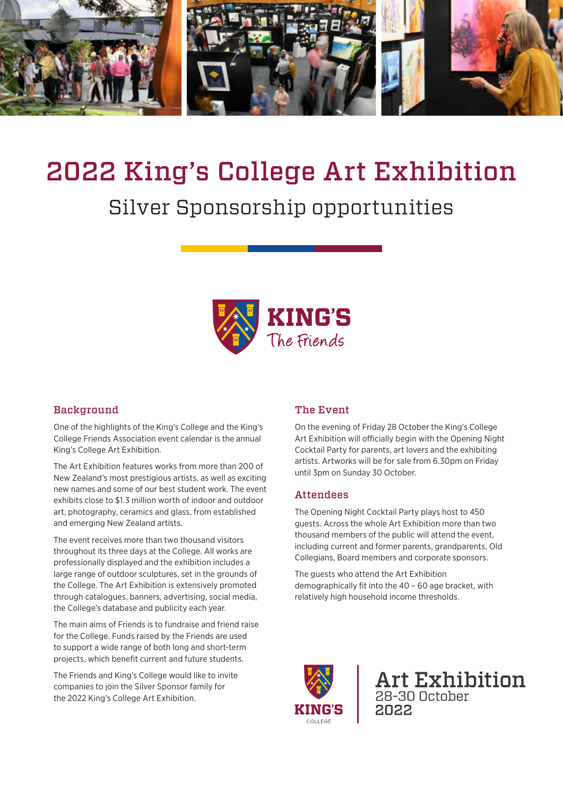

# 2022 King's College Art Exhibition

## Silver Sponsorship opportunities



#### **Background**

One of the highlights of the King's College and the King's College Friends Association event calendar is the annual King's College Art Exhibition.

The Art Exhibition features works from more than 200 of New Zealand's most prestigious artists, as well as exciting new names and some of our best student work. The event exhibits close to \$1.3 million worth of indoor and outdoor art, photography, ceramics and glass, from established and emerging New Zealand artists.

The event receives more than two thousand visitors throughout its three days at the College. All works are professionally displayed and the exhibition includes a large range of outdoor sculptures, set in the grounds of the College. The Art Exhibition is extensively promoted through catalogues, banners, advertising, social media, the College's database and publicity each year.

The main aims of Friends is to fundraise and friend raise for the College. Funds raised by the Friends are used to support a wide range of both long and short-term projects, which benefit current and future students.

The Friends and King's College would like to invite companies to join the Silver Sponsor family for the 2022 King's College Art Exhibition.

#### The Event

On the evening of Friday 28 October the King's College Art Exhibition will officially begin with the Opening Night Cocktail Party for parents, art lovers and the exhibiting artists. Artworks will be for sale from 6.30pm on Friday until 3pm on Sunday 30 October.

#### **Attendees**

The Opening Night Cocktail Party plays host to 450 guests. Across the whole Art Exhibition more than two thousand members of the public will attend the event, including current and former parents, grandparents, Old Collegians, Board members and corporate sponsors.

The guests who attend the Art Exhibition demographically fit into the 40 – 60 age bracket, with relatively high household income thresholds.



**Art Exhibition** 28-30 October 2022